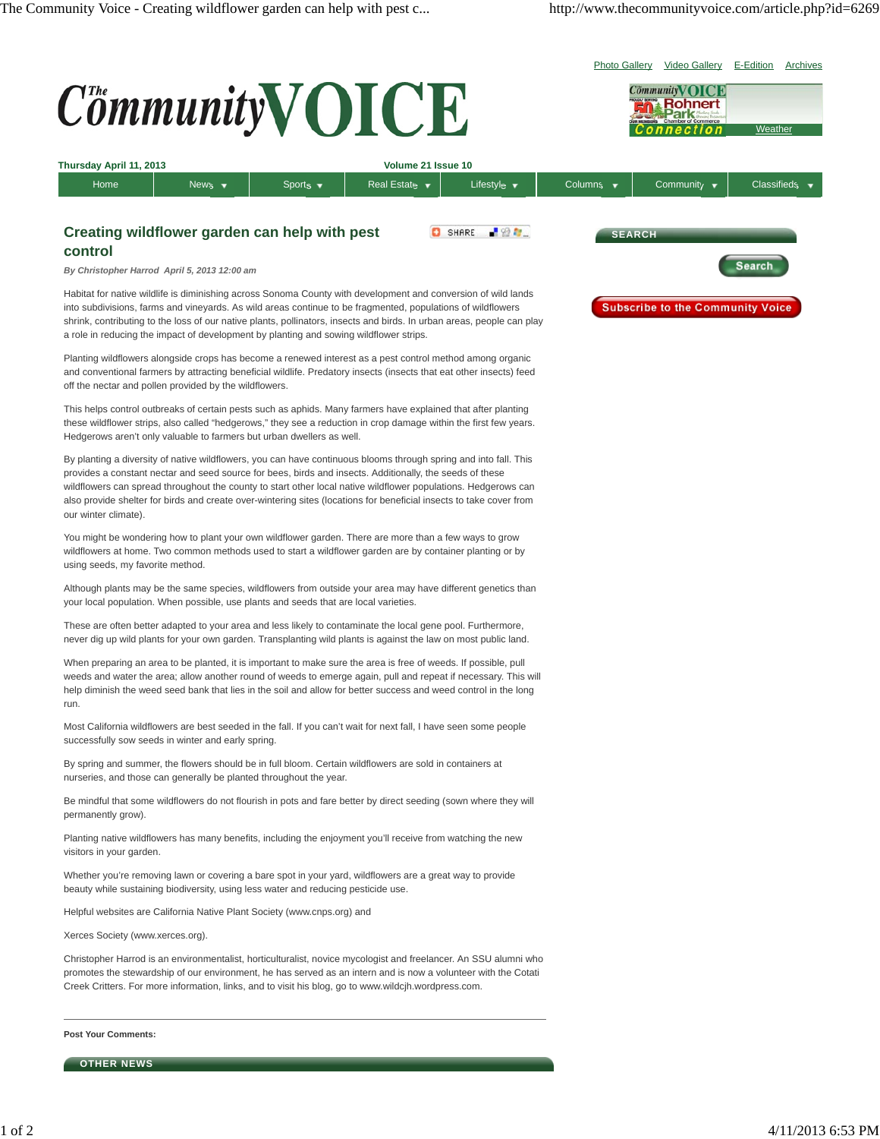

Helpful websites are California Native Plant Society (www.cnps.org) and

Xerces Society (www.xerces.org).

Christopher Harrod is an environmentalist, horticulturalist, novice mycologist and freelancer. An SSU alumni who promotes the stewardship of our environment, he has served as an intern and is now a volunteer with the Cotati Creek Critters. For more information, links, and to visit his blog, go to www.wildcjh.wordpress.com.

**Post Your Comments:**

**OTHER NEWS**